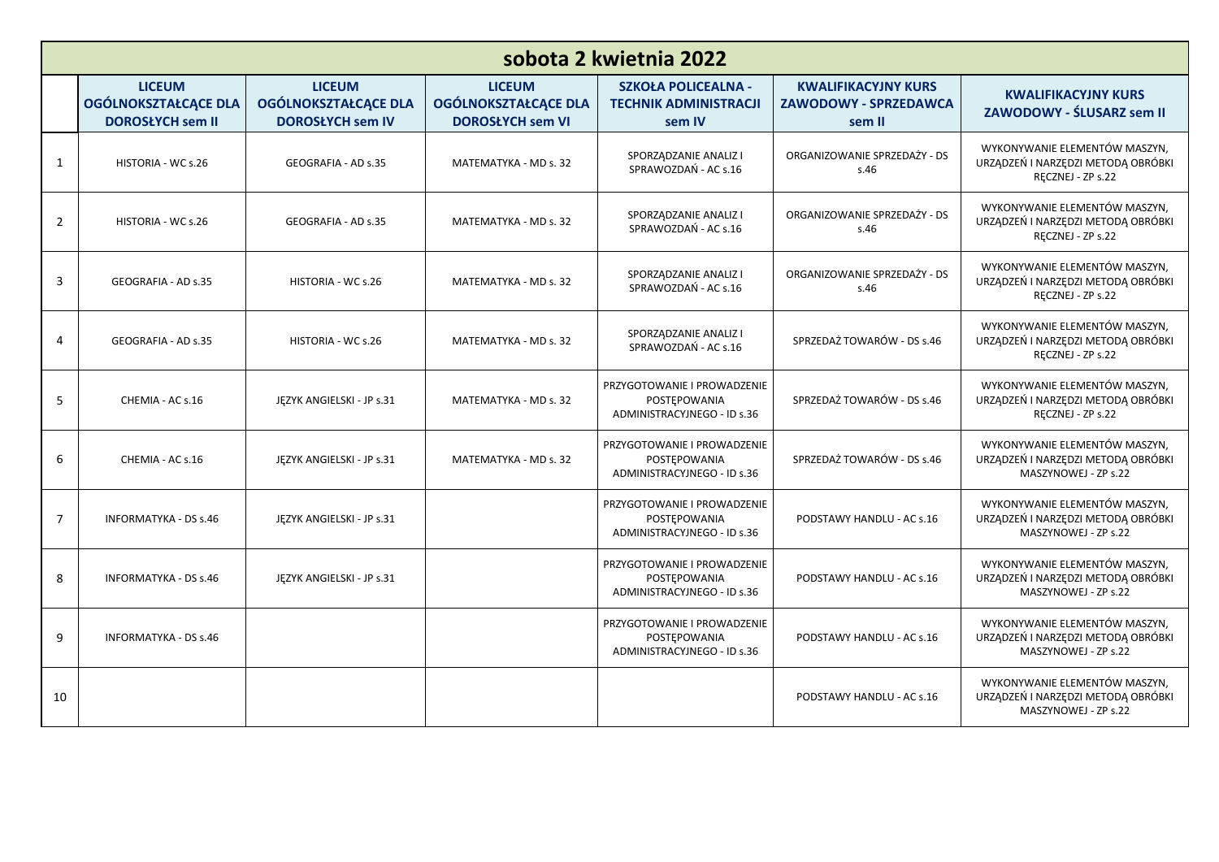| sobota 2 kwietnia 2022 |                                                                         |                                                                  |                                                                         |                                                                            |                                                                      |                                                                                             |
|------------------------|-------------------------------------------------------------------------|------------------------------------------------------------------|-------------------------------------------------------------------------|----------------------------------------------------------------------------|----------------------------------------------------------------------|---------------------------------------------------------------------------------------------|
|                        | <b>LICEUM</b><br><b>OGÓLNOKSZTAŁCĄCE DLA</b><br><b>DOROSŁYCH sem II</b> | <b>LICEUM</b><br>OGÓLNOKSZTAŁCĄCE DLA<br><b>DOROSŁYCH sem IV</b> | <b>LICEUM</b><br><b>OGÓLNOKSZTAŁCĄCE DLA</b><br><b>DOROSŁYCH sem VI</b> | <b>SZKOŁA POLICEALNA -</b><br><b>TECHNIK ADMINISTRACJI</b><br>sem IV       | <b>KWALIFIKACYJNY KURS</b><br><b>ZAWODOWY - SPRZEDAWCA</b><br>sem II | <b>KWALIFIKACYJNY KURS</b><br>ZAWODOWY - ŚLUSARZ sem II                                     |
| 1                      | HISTORIA - WC s.26                                                      | GEOGRAFIA - AD s.35                                              | MATEMATYKA - MD s. 32                                                   | SPORZĄDZANIE ANALIZ I<br>SPRAWOZDAŃ - AC s.16                              | ORGANIZOWANIE SPRZEDAŻY - DS<br>s.46                                 | WYKONYWANIE ELEMENTÓW MASZYN,<br>URZĄDZEŃ I NARZĘDZI METODĄ OBRÓBKI<br>RĘCZNEJ - ZP s.22    |
| $\overline{2}$         | HISTORIA - WC s.26                                                      | GEOGRAFIA - AD s.35                                              | MATEMATYKA - MD s. 32                                                   | SPORZĄDZANIE ANALIZ I<br>SPRAWOZDAŃ - AC s.16                              | ORGANIZOWANIE SPRZEDAŻY - DS<br>s.46                                 | WYKONYWANIE ELEMENTÓW MASZYN.<br>URZĄDZEŃ I NARZĘDZI METODĄ OBRÓBKI<br>RECZNEJ - ZP s.22    |
| 3                      | GEOGRAFIA - AD s.35                                                     | HISTORIA - WC s.26                                               | MATEMATYKA - MD s. 32                                                   | SPORZĄDZANIE ANALIZ I<br>SPRAWOZDAŃ - AC s.16                              | ORGANIZOWANIE SPRZEDAŻY - DS<br>s.46                                 | WYKONYWANIE ELEMENTÓW MASZYN,<br>URZĄDZEŃ I NARZĘDZI METODĄ OBRÓBKI<br>RECZNEJ - ZP s.22    |
| 4                      | GEOGRAFIA - AD s.35                                                     | HISTORIA - WC s.26                                               | MATEMATYKA - MD s. 32                                                   | SPORZĄDZANIE ANALIZ I<br>SPRAWOZDAŃ - AC s.16                              | SPRZEDAŻ TOWARÓW - DS s.46                                           | WYKONYWANIE ELEMENTÓW MASZYN,<br>URZĄDZEŃ I NARZĘDZI METODĄ OBRÓBKI<br>RECZNEJ - ZP s.22    |
| 5                      | CHEMIA - AC s.16                                                        | JEZYK ANGIELSKI - JP s.31                                        | MATEMATYKA - MD s. 32                                                   | PRZYGOTOWANIE I PROWADZENIE<br>POSTEPOWANIA<br>ADMINISTRACYJNEGO - ID s.36 | SPRZEDAŻ TOWARÓW - DS s.46                                           | WYKONYWANIE ELEMENTÓW MASZYN,<br>URZĄDZEŃ I NARZĘDZI METODĄ OBRÓBKI<br>RECZNEJ - ZP s.22    |
| 6                      | CHEMIA - AC s.16                                                        | JEZYK ANGIELSKI - JP s.31                                        | MATEMATYKA - MD s. 32                                                   | PRZYGOTOWANIE I PROWADZENIE<br>POSTEPOWANIA<br>ADMINISTRACYJNEGO - ID s.36 | SPRZEDAŻ TOWARÓW - DS s.46                                           | WYKONYWANIE ELEMENTÓW MASZYN.<br>URZĄDZEŃ I NARZĘDZI METODĄ OBRÓBKI<br>MASZYNOWEJ - ZP s.22 |
| $\overline{7}$         | <b>INFORMATYKA - DS s.46</b>                                            | JĘZYK ANGIELSKI - JP s.31                                        |                                                                         | PRZYGOTOWANIE I PROWADZENIE<br>POSTEPOWANIA<br>ADMINISTRACYJNEGO - ID s.36 | PODSTAWY HANDLU - AC s.16                                            | WYKONYWANIE ELEMENTÓW MASZYN,<br>URZĄDZEŃ I NARZĘDZI METODĄ OBRÓBKI<br>MASZYNOWEJ - ZP s.22 |
| 8                      | <b>INFORMATYKA - DS s.46</b>                                            | JEZYK ANGIELSKI - JP s.31                                        |                                                                         | PRZYGOTOWANIE I PROWADZENIE<br>POSTEPOWANIA<br>ADMINISTRACYJNEGO - ID s.36 | PODSTAWY HANDLU - AC s.16                                            | WYKONYWANIE ELEMENTÓW MASZYN,<br>URZĄDZEŃ I NARZĘDZI METODĄ OBRÓBKI<br>MASZYNOWEJ - ZP s.22 |
| 9                      | <b>INFORMATYKA - DS s.46</b>                                            |                                                                  |                                                                         | PRZYGOTOWANIE I PROWADZENIE<br>POSTEPOWANIA<br>ADMINISTRACYJNEGO - ID s.36 | PODSTAWY HANDLU - AC s.16                                            | WYKONYWANIE ELEMENTÓW MASZYN,<br>URZĄDZEŃ I NARZĘDZI METODĄ OBRÓBKI<br>MASZYNOWEJ - ZP s.22 |
| 10                     |                                                                         |                                                                  |                                                                         |                                                                            | PODSTAWY HANDLU - AC s.16                                            | WYKONYWANIE ELEMENTÓW MASZYN,<br>URZĄDZEŃ I NARZĘDZI METODĄ OBRÓBKI<br>MASZYNOWEJ - ZP s.22 |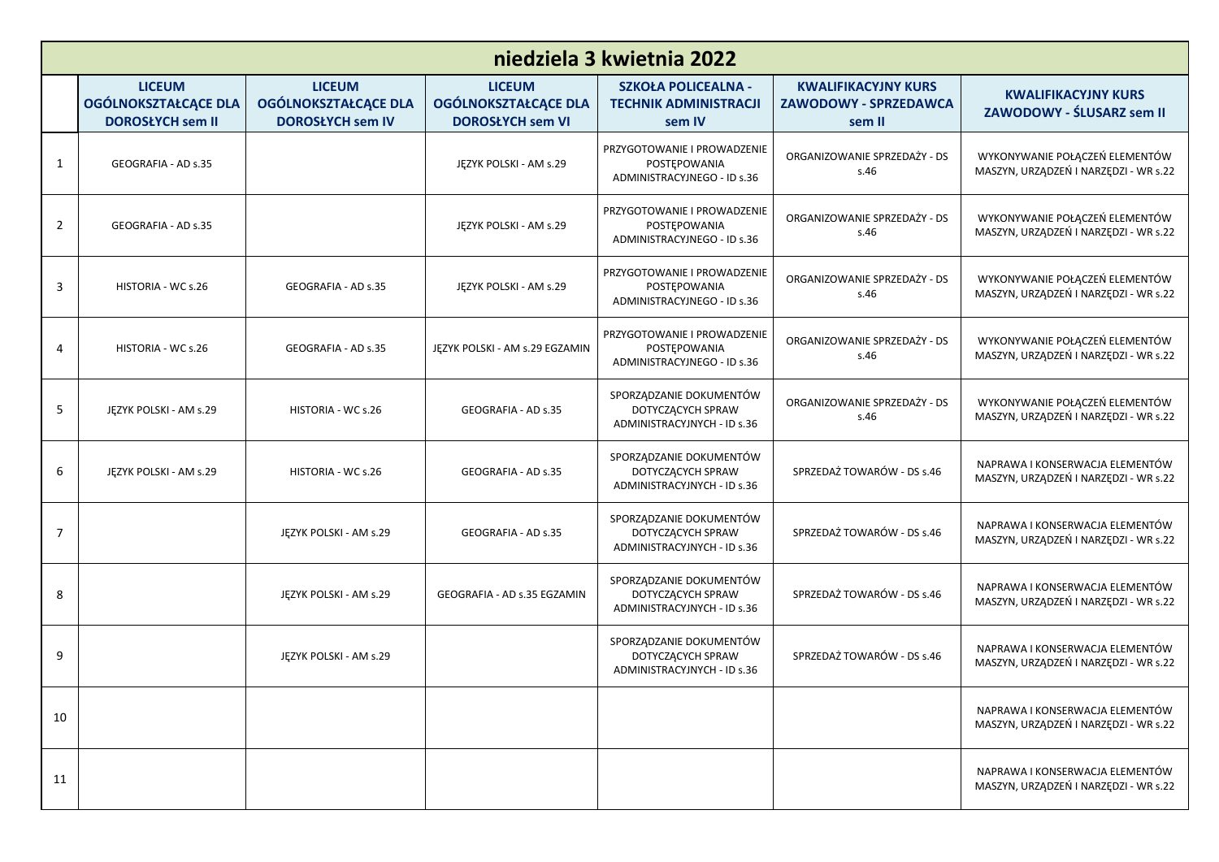|                | niedziela 3 kwietnia 2022                                               |                                                                  |                                                                         |                                                                             |                                                                      |                                                                          |  |
|----------------|-------------------------------------------------------------------------|------------------------------------------------------------------|-------------------------------------------------------------------------|-----------------------------------------------------------------------------|----------------------------------------------------------------------|--------------------------------------------------------------------------|--|
|                | <b>LICEUM</b><br><b>OGÓLNOKSZTAŁCĄCE DLA</b><br><b>DOROSŁYCH sem II</b> | <b>LICEUM</b><br>OGÓLNOKSZTAŁCĄCE DLA<br><b>DOROSŁYCH sem IV</b> | <b>LICEUM</b><br><b>OGÓLNOKSZTAŁCĄCE DLA</b><br><b>DOROSŁYCH sem VI</b> | <b>SZKOŁA POLICEALNA -</b><br><b>TECHNIK ADMINISTRACJI</b><br>sem IV        | <b>KWALIFIKACYJNY KURS</b><br><b>ZAWODOWY - SPRZEDAWCA</b><br>sem II | <b>KWALIFIKACYJNY KURS</b><br>ZAWODOWY - ŚLUSARZ sem II                  |  |
| 1              | GEOGRAFIA - AD s.35                                                     |                                                                  | JĘZYK POLSKI - AM s.29                                                  | PRZYGOTOWANIE I PROWADZENIE<br>POSTEPOWANIA<br>ADMINISTRACYJNEGO - ID s.36  | ORGANIZOWANIE SPRZEDAŻY - DS<br>s.46                                 | WYKONYWANIE POŁĄCZEŃ ELEMENTÓW<br>MASZYN, URZĄDZEŃ I NARZĘDZI - WR s.22  |  |
| $\overline{2}$ | GEOGRAFIA - AD s.35                                                     |                                                                  | JEZYK POLSKI - AM s.29                                                  | PRZYGOTOWANIE I PROWADZENIE<br>POSTEPOWANIA<br>ADMINISTRACYJNEGO - ID s.36  | ORGANIZOWANIE SPRZEDAŻY - DS<br>s.46                                 | WYKONYWANIE POŁĄCZEŃ ELEMENTÓW<br>MASZYN, URZĄDZEŃ I NARZĘDZI - WR s.22  |  |
| 3              | HISTORIA - WC s.26                                                      | GEOGRAFIA - AD s.35                                              | JĘZYK POLSKI - AM s.29                                                  | PRZYGOTOWANIE I PROWADZENIE<br>POSTEPOWANIA<br>ADMINISTRACYJNEGO - ID s.36  | ORGANIZOWANIE SPRZEDAŻY - DS<br>s.46                                 | WYKONYWANIE POŁĄCZEŃ ELEMENTÓW<br>MASZYN, URZĄDZEŃ I NARZĘDZI - WR s.22  |  |
| 4              | HISTORIA - WC s.26                                                      | GEOGRAFIA - AD s.35                                              | JĘZYK POLSKI - AM s.29 EGZAMIN                                          | PRZYGOTOWANIE I PROWADZENIE<br>POSTEPOWANIA<br>ADMINISTRACYJNEGO - ID s.36  | ORGANIZOWANIE SPRZEDAŻY - DS<br>s.46                                 | WYKONYWANIE POŁĄCZEŃ ELEMENTÓW<br>MASZYN, URZĄDZEŃ I NARZĘDZI - WR s.22  |  |
| 5              | JĘZYK POLSKI - AM s.29                                                  | HISTORIA - WC s.26                                               | GEOGRAFIA - AD s.35                                                     | SPORZĄDZANIE DOKUMENTÓW<br>DOTYCZĄCYCH SPRAW<br>ADMINISTRACYJNYCH - ID s.36 | ORGANIZOWANIE SPRZEDAŻY - DS<br>s.46                                 | WYKONYWANIE POŁĄCZEŃ ELEMENTÓW<br>MASZYN, URZĄDZEŃ I NARZĘDZI - WR s.22  |  |
| 6              | JĘZYK POLSKI - AM s.29                                                  | HISTORIA - WC s.26                                               | GEOGRAFIA - AD s.35                                                     | SPORZĄDZANIE DOKUMENTÓW<br>DOTYCZĄCYCH SPRAW<br>ADMINISTRACYJNYCH - ID s.36 | SPRZEDAŻ TOWARÓW - DS s.46                                           | NAPRAWA I KONSERWACJA ELEMENTÓW<br>MASZYN, URZĄDZEŃ I NARZĘDZI - WR s.22 |  |
| $\overline{7}$ |                                                                         | JĘZYK POLSKI - AM s.29                                           | GEOGRAFIA - AD s.35                                                     | SPORZĄDZANIE DOKUMENTÓW<br>DOTYCZĄCYCH SPRAW<br>ADMINISTRACYJNYCH - ID s.36 | SPRZEDAŻ TOWARÓW - DS s.46                                           | NAPRAWA I KONSERWACJA ELEMENTÓW<br>MASZYN, URZĄDZEŃ I NARZĘDZI - WR s.22 |  |
| 8              |                                                                         | JĘZYK POLSKI - AM s.29                                           | GEOGRAFIA - AD s.35 EGZAMIN                                             | SPORZĄDZANIE DOKUMENTÓW<br>DOTYCZĄCYCH SPRAW<br>ADMINISTRACYJNYCH - ID s.36 | SPRZEDAŻ TOWARÓW - DS s.46                                           | NAPRAWA I KONSERWACJA ELEMENTÓW<br>MASZYN, URZĄDZEŃ I NARZĘDZI - WR s.22 |  |
| 9              |                                                                         | JĘZYK POLSKI - AM s.29                                           |                                                                         | SPORZĄDZANIE DOKUMENTÓW<br>DOTYCZĄCYCH SPRAW<br>ADMINISTRACYJNYCH - ID s.36 | SPRZEDAŻ TOWARÓW - DS s.46                                           | NAPRAWA I KONSERWACJA ELEMENTÓW<br>MASZYN, URZĄDZEŃ I NARZĘDZI - WR s.22 |  |
| 10             |                                                                         |                                                                  |                                                                         |                                                                             |                                                                      | NAPRAWA I KONSERWACJA ELEMENTÓW<br>MASZYN, URZĄDZEŃ I NARZĘDZI - WR s.22 |  |
| 11             |                                                                         |                                                                  |                                                                         |                                                                             |                                                                      | NAPRAWA I KONSERWACJA ELEMENTÓW<br>MASZYN, URZĄDZEŃ I NARZĘDZI - WR s.22 |  |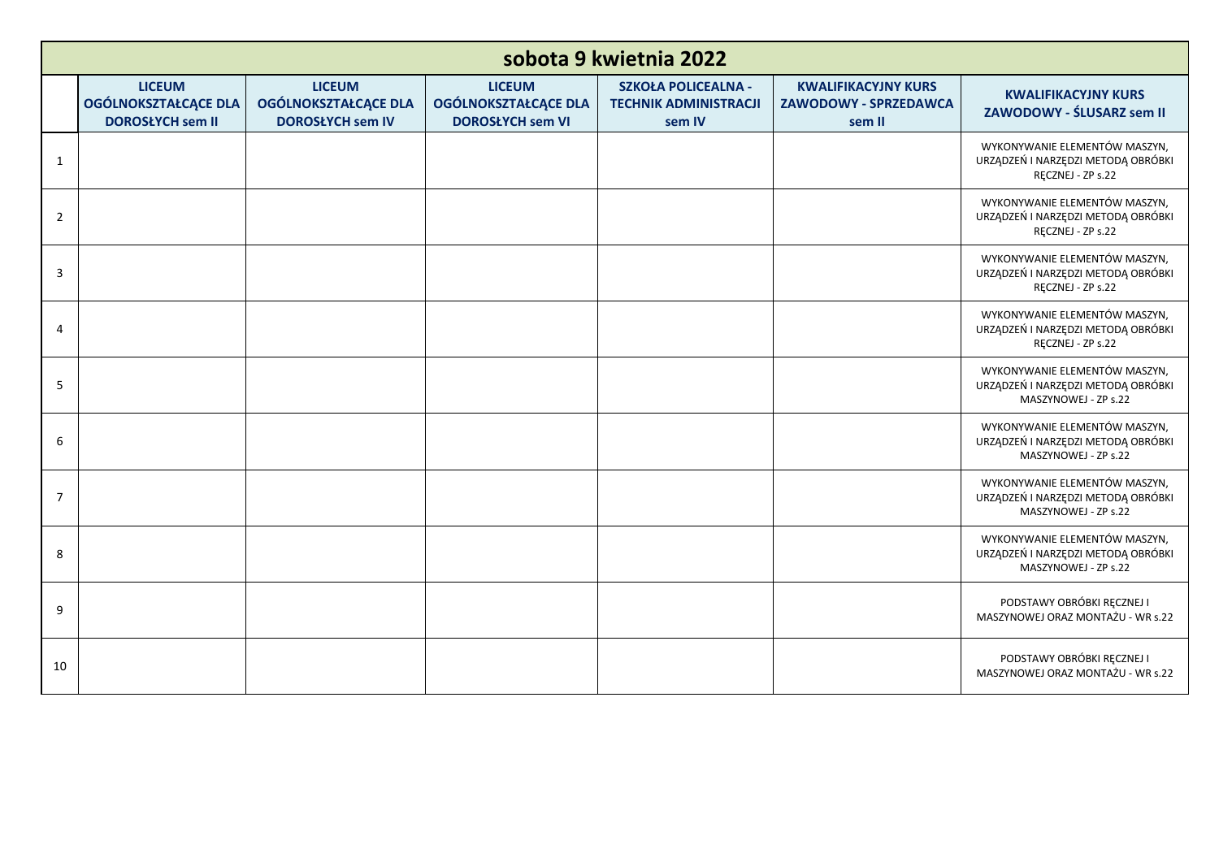|                | sobota 9 kwietnia 2022                                                  |                                                                         |                                                                         |                                                                      |                                                               |                                                                                             |  |
|----------------|-------------------------------------------------------------------------|-------------------------------------------------------------------------|-------------------------------------------------------------------------|----------------------------------------------------------------------|---------------------------------------------------------------|---------------------------------------------------------------------------------------------|--|
|                | <b>LICEUM</b><br><b>OGÓLNOKSZTAŁCĄCE DLA</b><br><b>DOROSŁYCH sem II</b> | <b>LICEUM</b><br><b>OGÓLNOKSZTAŁCĄCE DLA</b><br><b>DOROSŁYCH sem IV</b> | <b>LICEUM</b><br><b>OGÓLNOKSZTAŁCĄCE DLA</b><br><b>DOROSŁYCH sem VI</b> | <b>SZKOŁA POLICEALNA -</b><br><b>TECHNIK ADMINISTRACJI</b><br>sem IV | <b>KWALIFIKACYJNY KURS</b><br>ZAWODOWY - SPRZEDAWCA<br>sem II | <b>KWALIFIKACYJNY KURS</b><br>ZAWODOWY - ŚLUSARZ sem II                                     |  |
| $\mathbf{1}$   |                                                                         |                                                                         |                                                                         |                                                                      |                                                               | WYKONYWANIE ELEMENTÓW MASZYN,<br>URZĄDZEŃ I NARZĘDZI METODĄ OBRÓBKI<br>RĘCZNEJ - ZP s.22    |  |
| $\overline{2}$ |                                                                         |                                                                         |                                                                         |                                                                      |                                                               | WYKONYWANIE ELEMENTÓW MASZYN,<br>URZĄDZEŃ I NARZĘDZI METODĄ OBRÓBKI<br>RĘCZNEJ - ZP s.22    |  |
| 3              |                                                                         |                                                                         |                                                                         |                                                                      |                                                               | WYKONYWANIE ELEMENTÓW MASZYN,<br>URZĄDZEŃ I NARZĘDZI METODĄ OBRÓBKI<br>RĘCZNEJ - ZP s.22    |  |
| 4              |                                                                         |                                                                         |                                                                         |                                                                      |                                                               | WYKONYWANIE ELEMENTÓW MASZYN,<br>URZĄDZEŃ I NARZĘDZI METODĄ OBRÓBKI<br>RĘCZNEJ - ZP s.22    |  |
| 5              |                                                                         |                                                                         |                                                                         |                                                                      |                                                               | WYKONYWANIE ELEMENTÓW MASZYN,<br>URZĄDZEŃ I NARZĘDZI METODĄ OBRÓBKI<br>MASZYNOWEJ - ZP s.22 |  |
| 6              |                                                                         |                                                                         |                                                                         |                                                                      |                                                               | WYKONYWANIE ELEMENTÓW MASZYN,<br>URZĄDZEŃ I NARZĘDZI METODĄ OBRÓBKI<br>MASZYNOWEJ - ZP s.22 |  |
| $\overline{7}$ |                                                                         |                                                                         |                                                                         |                                                                      |                                                               | WYKONYWANIE ELEMENTÓW MASZYN,<br>URZĄDZEŃ I NARZĘDZI METODĄ OBRÓBKI<br>MASZYNOWEJ - ZP s.22 |  |
| 8              |                                                                         |                                                                         |                                                                         |                                                                      |                                                               | WYKONYWANIE ELEMENTÓW MASZYN,<br>URZĄDZEŃ I NARZĘDZI METODĄ OBRÓBKI<br>MASZYNOWEJ - ZP s.22 |  |
| 9              |                                                                         |                                                                         |                                                                         |                                                                      |                                                               | PODSTAWY OBRÓBKI RĘCZNEJ I<br>MASZYNOWEJ ORAZ MONTAŻU - WR s.22                             |  |
| 10             |                                                                         |                                                                         |                                                                         |                                                                      |                                                               | PODSTAWY OBRÓBKI RECZNEJ I<br>MASZYNOWEJ ORAZ MONTAŻU - WR s.22                             |  |